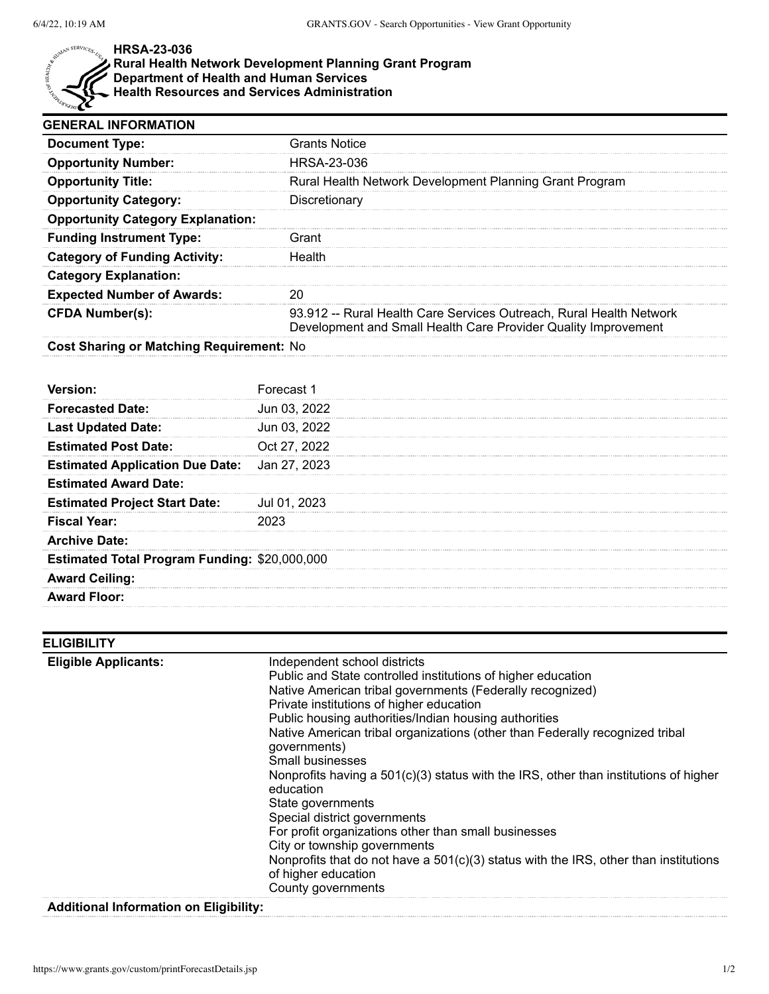

## **HRSA-23-036**

## **Rural Health Network Development Planning Grant Program**

**Department of Health and Human Services**

**Health Resources and Services Administration**

| <b>GENERAL INFORMATION</b>                    |                                                                                                                                       |
|-----------------------------------------------|---------------------------------------------------------------------------------------------------------------------------------------|
| <b>Document Type:</b>                         | <b>Grants Notice</b>                                                                                                                  |
| <b>Opportunity Number:</b>                    | HRSA-23-036                                                                                                                           |
| <b>Opportunity Title:</b>                     | Rural Health Network Development Planning Grant Program                                                                               |
| <b>Opportunity Category:</b>                  | Discretionary                                                                                                                         |
| <b>Opportunity Category Explanation:</b>      |                                                                                                                                       |
| <b>Funding Instrument Type:</b>               | Grant                                                                                                                                 |
| <b>Category of Funding Activity:</b>          | Health                                                                                                                                |
| <b>Category Explanation:</b>                  |                                                                                                                                       |
| <b>Expected Number of Awards:</b>             | 20                                                                                                                                    |
| <b>CFDA Number(s):</b>                        | 93.912 -- Rural Health Care Services Outreach, Rural Health Network<br>Development and Small Health Care Provider Quality Improvement |
| Cost Sharing or Matching Requirement: No      |                                                                                                                                       |
|                                               |                                                                                                                                       |
| Version:                                      | Forecast 1                                                                                                                            |
| <b>Forecasted Date:</b>                       | Jun 03, 2022                                                                                                                          |
| <b>Last Updated Date:</b>                     | Jun 03, 2022                                                                                                                          |
| <b>Estimated Post Date:</b>                   | Oct 27, 2022                                                                                                                          |
| <b>Estimated Application Due Date:</b>        | Jan 27, 2023                                                                                                                          |
| <b>Estimated Award Date:</b>                  |                                                                                                                                       |
| <b>Estimated Project Start Date:</b>          | Jul 01, 2023                                                                                                                          |
| <b>Fiscal Year:</b>                           | 2023                                                                                                                                  |
| <b>Archive Date:</b>                          |                                                                                                                                       |
| Estimated Total Program Funding: \$20,000,000 |                                                                                                                                       |
| <b>Award Ceiling:</b>                         |                                                                                                                                       |
| <b>Award Floor:</b>                           |                                                                                                                                       |
|                                               |                                                                                                                                       |

| <b>ELIGIBILITY</b>          |                                                                                                                                                                                                                                                                                                                                                                                                                                                                                                                                                                                                                                                                                                                                                                               |
|-----------------------------|-------------------------------------------------------------------------------------------------------------------------------------------------------------------------------------------------------------------------------------------------------------------------------------------------------------------------------------------------------------------------------------------------------------------------------------------------------------------------------------------------------------------------------------------------------------------------------------------------------------------------------------------------------------------------------------------------------------------------------------------------------------------------------|
| <b>Eligible Applicants:</b> | Independent school districts<br>Public and State controlled institutions of higher education<br>Native American tribal governments (Federally recognized)<br>Private institutions of higher education<br>Public housing authorities/Indian housing authorities<br>Native American tribal organizations (other than Federally recognized tribal<br>governments)<br>Small businesses<br>Nonprofits having a $501(c)(3)$ status with the IRS, other than institutions of higher<br>education<br>State governments<br>Special district governments<br>For profit organizations other than small businesses<br>City or township governments<br>Nonprofits that do not have a $501(c)(3)$ status with the IRS, other than institutions<br>of higher education<br>County governments |
|                             |                                                                                                                                                                                                                                                                                                                                                                                                                                                                                                                                                                                                                                                                                                                                                                               |

## **Additional Information on Eligibility:**